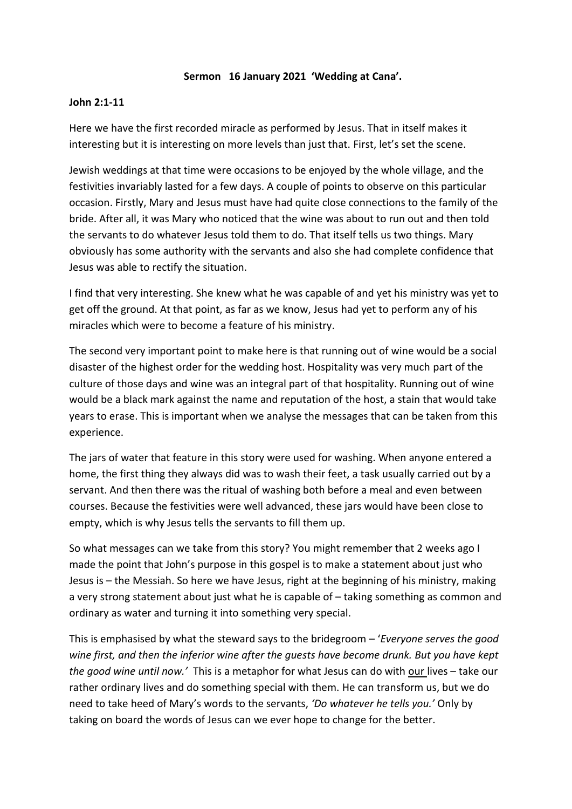## **Sermon 16 January 2021 'Wedding at Cana'.**

## **John 2:1-11**

Here we have the first recorded miracle as performed by Jesus. That in itself makes it interesting but it is interesting on more levels than just that. First, let's set the scene.

Jewish weddings at that time were occasions to be enjoyed by the whole village, and the festivities invariably lasted for a few days. A couple of points to observe on this particular occasion. Firstly, Mary and Jesus must have had quite close connections to the family of the bride. After all, it was Mary who noticed that the wine was about to run out and then told the servants to do whatever Jesus told them to do. That itself tells us two things. Mary obviously has some authority with the servants and also she had complete confidence that Jesus was able to rectify the situation.

I find that very interesting. She knew what he was capable of and yet his ministry was yet to get off the ground. At that point, as far as we know, Jesus had yet to perform any of his miracles which were to become a feature of his ministry.

The second very important point to make here is that running out of wine would be a social disaster of the highest order for the wedding host. Hospitality was very much part of the culture of those days and wine was an integral part of that hospitality. Running out of wine would be a black mark against the name and reputation of the host, a stain that would take years to erase. This is important when we analyse the messages that can be taken from this experience.

The jars of water that feature in this story were used for washing. When anyone entered a home, the first thing they always did was to wash their feet, a task usually carried out by a servant. And then there was the ritual of washing both before a meal and even between courses. Because the festivities were well advanced, these jars would have been close to empty, which is why Jesus tells the servants to fill them up.

So what messages can we take from this story? You might remember that 2 weeks ago I made the point that John's purpose in this gospel is to make a statement about just who Jesus is – the Messiah. So here we have Jesus, right at the beginning of his ministry, making a very strong statement about just what he is capable of – taking something as common and ordinary as water and turning it into something very special.

This is emphasised by what the steward says to the bridegroom – '*Everyone serves the good wine first, and then the inferior wine after the guests have become drunk. But you have kept the good wine until now.'* This is a metaphor for what Jesus can do with our lives – take our rather ordinary lives and do something special with them. He can transform us, but we do need to take heed of Mary's words to the servants, *'Do whatever he tells you.'* Only by taking on board the words of Jesus can we ever hope to change for the better.